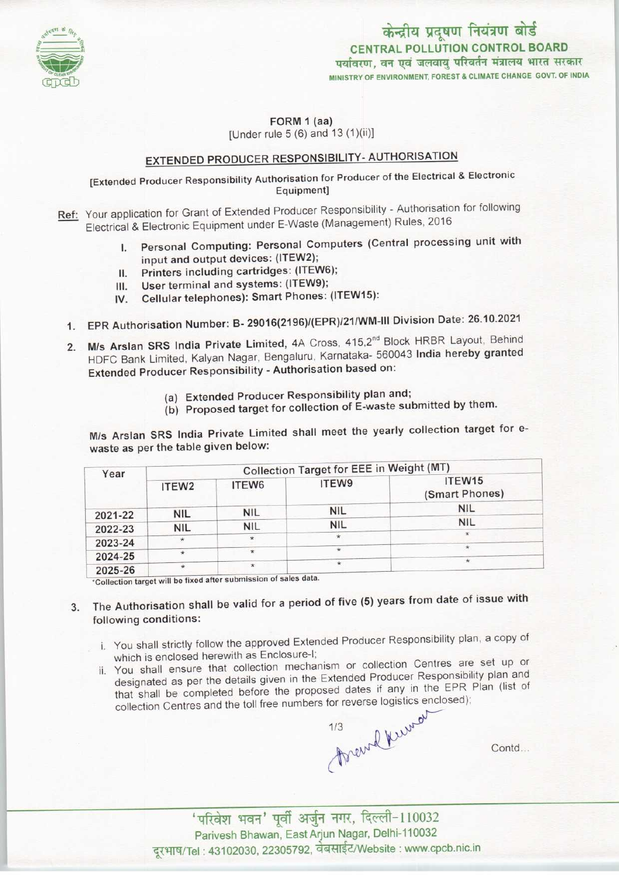

केन्द्रीय प्रदूषण नियंत्रण बोर्ड CENTRAL POLLUTION CONTROL BOARD<br>पर्यावरण, वन एवं जलवाय परिवर्तन मंत्रालय भारत सरकार MINISTRY OF ENVIRONMENT, FOREST & CLIMATE CHANGE GOVT. OF INDIA

FORM 1 (aa) [Under rule  $5(6)$  and  $13(1)(ii)$ ]

## EXTENDED PRODUCER RESPONSIBILITY- AUTHORISATION

[Extended Producer Responsibility Authorisation for Producer of the Electrical & Electronic Equipment]

- Ref: Your application for Grant of Extended Producer Responsibility Authorisation for following Electrical & Electronic Equipment under E-Waste (Management) Rules, 2016
	- I. Personal Computing: Personal Computers (Central processing unit with input and output devices: (ITEW2);
	- II. Printers including cartridges: (ITEW6);<br>III. User terminal and systems: (ITEW9);
	-
	- III. User terminal and systems: (ITEW9);<br>IV. Cellular telephones): Smart Phones: Cellular telephones): Smart Phones: (ITEW15):
	- 1.EPR Authorisation Number: B-29016(2196)/(EPR)/21/WM-lll Division Date: 26.10.2021
	- 2. M/s Arslan SRS India Private Limited, 4A Cross, 415,2<sup>nd</sup> Block HRBR Layout, Behind HDFC Bank Limited, Kalyan Nagar, Bengaluru, Karnataka- 560043 India hereby granted Extended Producer Responsibility - Authorisation based on:
		- (a)Extended Producer Responsibility plan and;
		- (b) Proposed target for collection of E-waste submitted by them.

M/s Arslan SRS India Private Limited shall meet the yearly collection target for ewaste as per the table given below:

| Year    | <b>Collection Target for EEE in Weight (MT)</b> |                                                                             |            |                                      |
|---------|-------------------------------------------------|-----------------------------------------------------------------------------|------------|--------------------------------------|
|         | ITEW <sub>2</sub>                               | ITEW6                                                                       | ITEW9      | ITEW <sub>15</sub><br>(Smart Phones) |
| 2021-22 | NIL.                                            | <b>NIL</b>                                                                  | <b>NIL</b> | <b>NIL</b>                           |
|         |                                                 |                                                                             | <b>NIL</b> | <b>NIL</b>                           |
| 2022-23 | <b>NIL</b>                                      | <b>NIL</b>                                                                  |            | $\star$                              |
| 2023-24 | $\star$                                         |                                                                             | $\star$    |                                      |
| 2024-25 | $\star$                                         | $\star$                                                                     | $\star$    | $\star$                              |
| 2025-26 |                                                 | $\star$<br>*Collection target will be fixed after submission of sales data. | $\star$    | $\star$                              |

3. The Authorisation shall be valid for a period of five (5) years from date of issue with following conditions:

- i. You shall strictly follow the approved Extended Producer Responsibility plan, a copy of which is enclosed herewith as Enclosure-I;
- ii. You shall ensure that collection mechanism or collection Centres are set up or designated as per the details given in the Extended Producer Responsibility plan and that shall be completed before the proposed dates if any in the EPR Plan (list of

collection Centres and the toll free numbers for reverse logistics enclosed);<br> $\frac{1}{3}$ 

Contd...

'परिवेश भवन' पूर्वी अर्जुन नगर, दिल्ली-110032 Parivesh Bhawan, East Arjun Nagar, Delhi-110032 दूरभाष/Tel: 43102030, 22305792, वेबसाईट/Website : www.cpcb.nic.in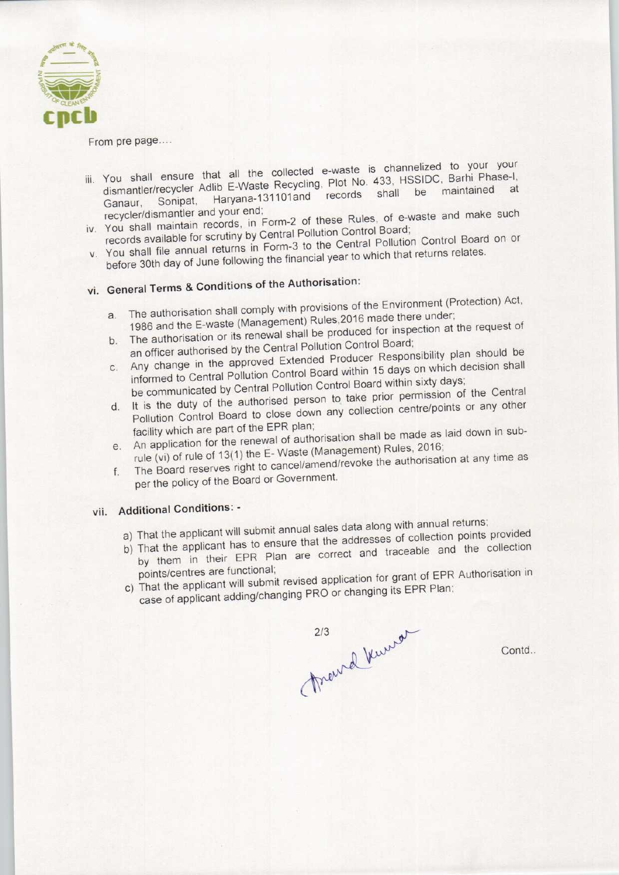

## From pre page....

- in the collected e-waste is channelized to your your You shall ensure that all the collected e-waste is challibrary and Barhi Phase-I. dismantler/recycler Adlib E-Waste Recycling, Plot No. 433, HSSIDC, Barhi Phase-I,<br>Ganaur, Sonipat, Haryana-131101and records shall be maintained at iv. You can all it was a set that we have such the contract the such the such the such the such the such that is not the such that is not the such that is not the such that is not the such that is not the such that is not
- recycler/dismantler and your end;<br>You shall maintain records, in Form-2 of these Rules, of e-w<br>records available for scrutiny by Central Pollution Control Board;
- records available for scrutiny by Central Pollution Control Board.<br>Form-3 to the Central Pollution Control Board on or You shall file annual returns in Form-3 to the Gentral Pollowing Senators. before 30th day of June following the financial year to which that returns relates.<br>vi. General Terms & Conditions of the Authorisation:
- - a. The authorisation shall comply with provisions of the Environment (Protection) Act, a. The authorisation shall comply with provisions of the Erivironment (Trecession)<br>1986 and the E-waste (Management) Rules, 2016 made there under;<br>the request of
	- b. The authorisation or its renewal shall be produced for inspection at the request of an officer authorised by the Central Pollution Control Board;
	- b. The authorisation or its renewal shall be produced for inspection at the car<br>an officer authorised by the Central Pollution Control Board;<br>the approved Extended Producer Responsibility plan should be Any change in the approved Extended Producer Responsibility plan crisis and
	- informed to Central Pollution Control Board within 15 days on when seemed<br>be communicated by Central Pollution Control Board within sixty days;<br>i.e., the duty of the authorised person to take prior permission of the Centra d. It is the duty of the authorised person to take prior permission of the Central<br>Pollution Control Board to close down any collection centre/points or any other
	- facility which are part of the EPR plan; Pollution Control Board to close down any collection centre points of a response facility which are part of the EPR plan;
	- rule (vi) of rule of 13(1) the E-Waste (Management) Rules, 2016;<br>The Board reserves right to cancel/amend/revoke the authorisation at any time as F. An application for the renewal of authorisation shall be made as laid down in sub-<br>rule (vi) of rule of 13(1) the E-Waste (Management) Rules, 2016;<br>The Board reserves right to cancel/amend/revoke the authorisation at an
	- per the policy of the Board or Government.

## vii. Additional Conditions: -

- a) That the applicant will submit annual sales data along with annual returns;
- a) That the applicant will submit annual sales data along with annual returns, That the applicant has to ensure that the addresses or collection points presented and the collection
- by them in their EPR Plan are correct and traceable and the collection<br>points/centres are functional; c) That the applicant will submit revised application for grant of EPR Authorisation in
- case of applicant adding/changing PRO or changing its EPR Plan;

marrel burror

Contd..